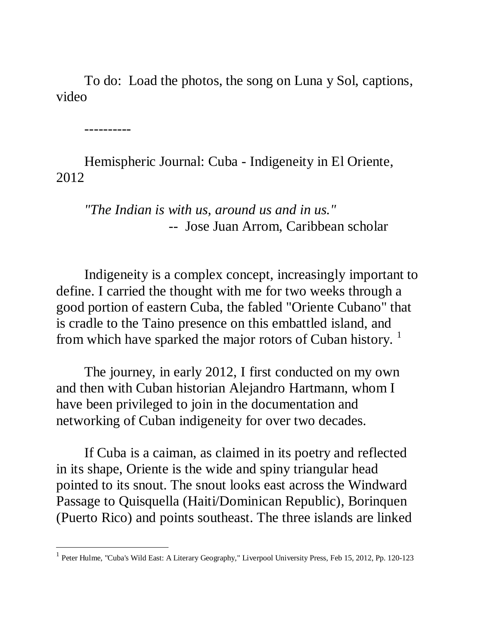To do: Load the photos, the song on Luna y Sol, captions, video

----------

Hemispheric Journal: Cuba - Indigeneity in El Oriente, 2012

*"The Indian is with us, around us and in us."*  -- Jose Juan Arrom, Caribbean scholar

Indigeneity is a complex concept, increasingly important to define. I carried the thought with me for two weeks through a good portion of eastern Cuba, the fabled "Oriente Cubano" that is cradle to the Taino presence on this embattled island, and from which have sparked the major rotors of Cuban history.<sup>1</sup>

The journey, in early 2012, I first conducted on my own and then with Cuban historian Alejandro Hartmann, whom I have been privileged to join in the documentation and networking of Cuban indigeneity for over two decades.

If Cuba is a caiman, as claimed in its poetry and reflected in its shape, Oriente is the wide and spiny triangular head pointed to its snout. The snout looks east across the Windward Passage to Quisquella (Haiti/Dominican Republic), Borinquen (Puerto Rico) and points southeast. The three islands are linked

<sup>&</sup>lt;sup>1</sup> Peter Hulme, "Cuba's Wild East: A Literary Geography," Liverpool University Press, Feb 15, 2012, Pp. 120-123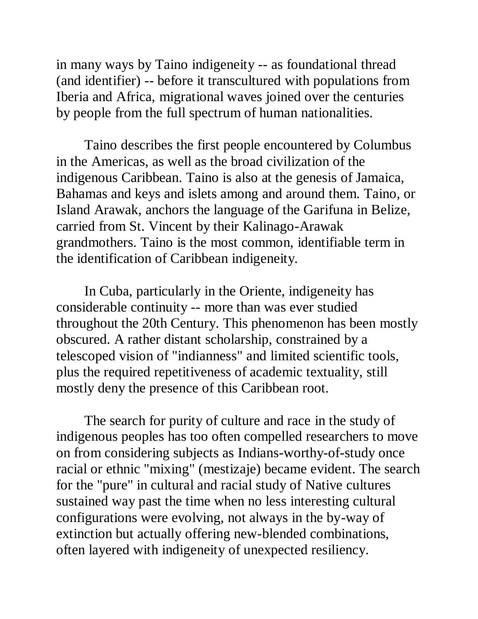in many ways by Taino indigeneity -- as foundational thread (and identifier) -- before it transcultured with populations from Iberia and Africa, migrational waves joined over the centuries by people from the full spectrum of human nationalities.

Taino describes the first people encountered by Columbus in the Americas, as well as the broad civilization of the indigenous Caribbean. Taino is also at the genesis of Jamaica, Bahamas and keys and islets among and around them. Taino, or Island Arawak, anchors the language of the Garifuna in Belize, carried from St. Vincent by their Kalinago-Arawak grandmothers. Taino is the most common, identifiable term in the identification of Caribbean indigeneity.

In Cuba, particularly in the Oriente, indigeneity has considerable continuity -- more than was ever studied throughout the 20th Century. This phenomenon has been mostly obscured. A rather distant scholarship, constrained by a telescoped vision of "indianness" and limited scientific tools, plus the required repetitiveness of academic textuality, still mostly deny the presence of this Caribbean root.

The search for purity of culture and race in the study of indigenous peoples has too often compelled researchers to move on from considering subjects as Indians-worthy-of-study once racial or ethnic "mixing" (mestizaje) became evident. The search for the "pure" in cultural and racial study of Native cultures sustained way past the time when no less interesting cultural configurations were evolving, not always in the by-way of extinction but actually offering new-blended combinations, often layered with indigeneity of unexpected resiliency.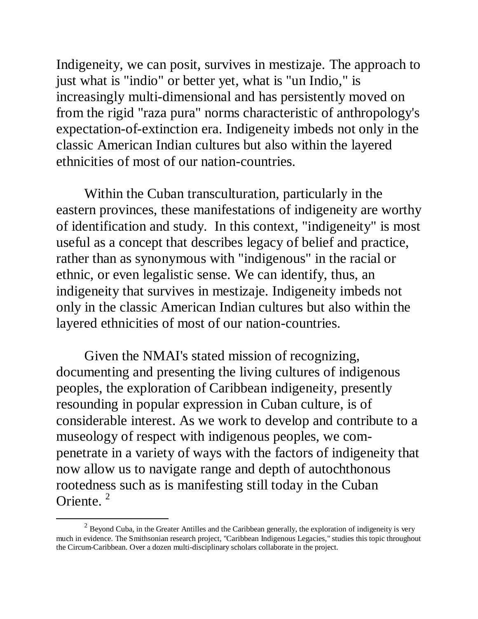Indigeneity, we can posit, survives in mestizaje. The approach to just what is "indio" or better yet, what is "un Indio," is increasingly multi-dimensional and has persistently moved on from the rigid "raza pura" norms characteristic of anthropology's expectation-of-extinction era. Indigeneity imbeds not only in the classic American Indian cultures but also within the layered ethnicities of most of our nation-countries.

Within the Cuban transculturation, particularly in the eastern provinces, these manifestations of indigeneity are worthy of identification and study. In this context, "indigeneity" is most useful as a concept that describes legacy of belief and practice, rather than as synonymous with "indigenous" in the racial or ethnic, or even legalistic sense. We can identify, thus, an indigeneity that survives in mestizaje. Indigeneity imbeds not only in the classic American Indian cultures but also within the layered ethnicities of most of our nation-countries.

Given the NMAI's stated mission of recognizing, documenting and presenting the living cultures of indigenous peoples, the exploration of Caribbean indigeneity, presently resounding in popular expression in Cuban culture, is of considerable interest. As we work to develop and contribute to a museology of respect with indigenous peoples, we compenetrate in a variety of ways with the factors of indigeneity that now allow us to navigate range and depth of autochthonous rootedness such as is manifesting still today in the Cuban Oriente. <sup>2</sup>

 $2$  Beyond Cuba, in the Greater Antilles and the Caribbean generally, the exploration of indigeneity is very much in evidence. The Smithsonian research project, "Caribbean Indigenous Legacies," studies this topic throughout the Circum-Caribbean. Over a dozen multi-disciplinary scholars collaborate in the project.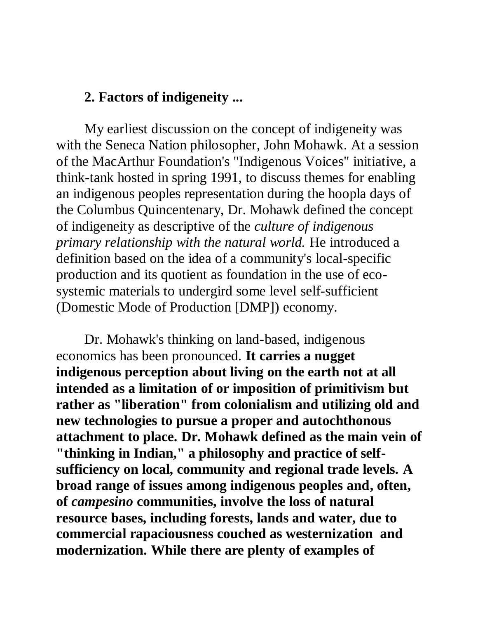#### **2. Factors of indigeneity ...**

My earliest discussion on the concept of indigeneity was with the Seneca Nation philosopher, John Mohawk. At a session of the MacArthur Foundation's "Indigenous Voices" initiative, a think-tank hosted in spring 1991, to discuss themes for enabling an indigenous peoples representation during the hoopla days of the Columbus Quincentenary, Dr. Mohawk defined the concept of indigeneity as descriptive of the *culture of indigenous primary relationship with the natural world.* He introduced a definition based on the idea of a community's local-specific production and its quotient as foundation in the use of ecosystemic materials to undergird some level self-sufficient (Domestic Mode of Production [DMP]) economy.

Dr. Mohawk's thinking on land-based, indigenous economics has been pronounced. **It carries a nugget indigenous perception about living on the earth not at all intended as a limitation of or imposition of primitivism but rather as "liberation" from colonialism and utilizing old and new technologies to pursue a proper and autochthonous attachment to place. Dr. Mohawk defined as the main vein of "thinking in Indian," a philosophy and practice of selfsufficiency on local, community and regional trade levels. A broad range of issues among indigenous peoples and, often, of** *campesino* **communities, involve the loss of natural resource bases, including forests, lands and water, due to commercial rapaciousness couched as westernization and modernization. While there are plenty of examples of**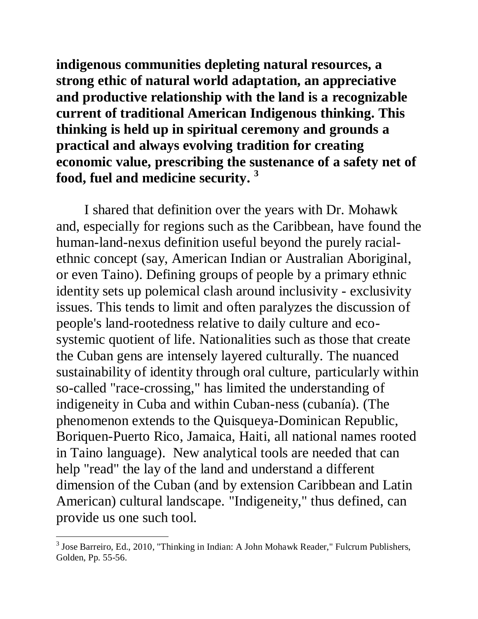**indigenous communities depleting natural resources, a strong ethic of natural world adaptation, an appreciative and productive relationship with the land is a recognizable current of traditional American Indigenous thinking. This thinking is held up in spiritual ceremony and grounds a practical and always evolving tradition for creating economic value, prescribing the sustenance of a safety net of food, fuel and medicine security. 3**

I shared that definition over the years with Dr. Mohawk and, especially for regions such as the Caribbean, have found the human-land-nexus definition useful beyond the purely racialethnic concept (say, American Indian or Australian Aboriginal, or even Taino). Defining groups of people by a primary ethnic identity sets up polemical clash around inclusivity - exclusivity issues. This tends to limit and often paralyzes the discussion of people's land-rootedness relative to daily culture and ecosystemic quotient of life. Nationalities such as those that create the Cuban gens are intensely layered culturally. The nuanced sustainability of identity through oral culture, particularly within so-called "race-crossing," has limited the understanding of indigeneity in Cuba and within Cuban-ness (cubanía). (The phenomenon extends to the Quisqueya-Dominican Republic, Boriquen-Puerto Rico, Jamaica, Haiti, all national names rooted in Taino language). New analytical tools are needed that can help "read" the lay of the land and understand a different dimension of the Cuban (and by extension Caribbean and Latin American) cultural landscape. "Indigeneity," thus defined, can provide us one such tool.

 3 Jose Barreiro, Ed., 2010, "Thinking in Indian: A John Mohawk Reader," Fulcrum Publishers, Golden, Pp. 55-56.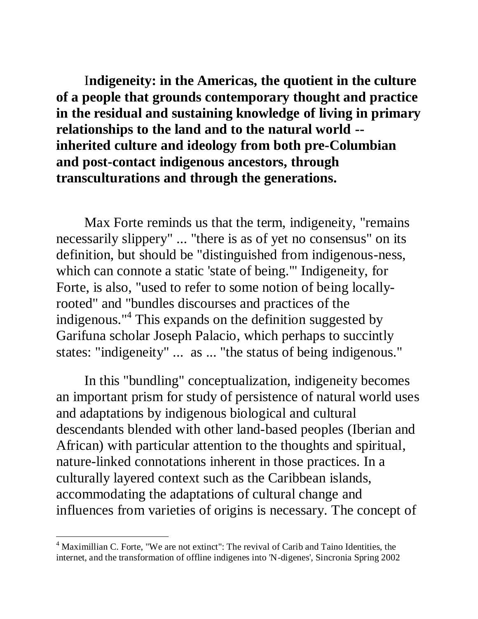I**ndigeneity: in the Americas, the quotient in the culture of a people that grounds contemporary thought and practice in the residual and sustaining knowledge of living in primary relationships to the land and to the natural world - inherited culture and ideology from both pre-Columbian and post-contact indigenous ancestors, through transculturations and through the generations.** 

Max Forte reminds us that the term, indigeneity, "remains necessarily slippery" ... "there is as of yet no consensus" on its definition, but should be "distinguished from indigenous-ness, which can connote a static 'state of being.'" Indigeneity, for Forte, is also, "used to refer to some notion of being locallyrooted" and "bundles discourses and practices of the indigenous."<sup>4</sup> This expands on the definition suggested by Garifuna scholar Joseph Palacio, which perhaps to succintly states: "indigeneity" ... as ... "the status of being indigenous."

In this "bundling" conceptualization, indigeneity becomes an important prism for study of persistence of natural world uses and adaptations by indigenous biological and cultural descendants blended with other land-based peoples (Iberian and African) with particular attention to the thoughts and spiritual, nature-linked connotations inherent in those practices. In a culturally layered context such as the Caribbean islands, accommodating the adaptations of cultural change and influences from varieties of origins is necessary. The concept of

 $\overline{a}$ 

 $4$  Maximillian C. Forte, "We are not extinct": The revival of Carib and Taino Identities, the internet, and the transformation of offline indigenes into 'N-digenes', Sincronia Spring 2002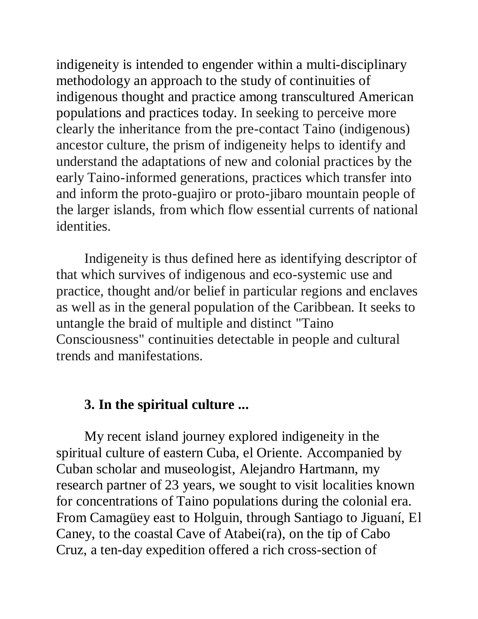indigeneity is intended to engender within a multi-disciplinary methodology an approach to the study of continuities of indigenous thought and practice among transcultured American populations and practices today. In seeking to perceive more clearly the inheritance from the pre-contact Taino (indigenous) ancestor culture, the prism of indigeneity helps to identify and understand the adaptations of new and colonial practices by the early Taino-informed generations, practices which transfer into and inform the proto-guajiro or proto-jibaro mountain people of the larger islands, from which flow essential currents of national identities.

Indigeneity is thus defined here as identifying descriptor of that which survives of indigenous and eco-systemic use and practice, thought and/or belief in particular regions and enclaves as well as in the general population of the Caribbean. It seeks to untangle the braid of multiple and distinct "Taino Consciousness" continuities detectable in people and cultural trends and manifestations.

# **3. In the spiritual culture ...**

My recent island journey explored indigeneity in the spiritual culture of eastern Cuba, el Oriente. Accompanied by Cuban scholar and museologist, Alejandro Hartmann, my research partner of 23 years, we sought to visit localities known for concentrations of Taino populations during the colonial era. From Camagüey east to Holguin, through Santiago to Jiguaní, El Caney, to the coastal Cave of Atabei(ra), on the tip of Cabo Cruz, a ten-day expedition offered a rich cross-section of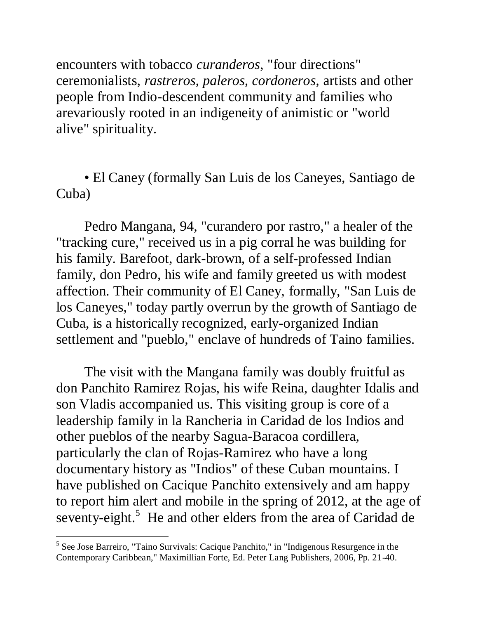encounters with tobacco *curanderos*, "four directions" ceremonialists, *rastreros, paleros, cordoneros,* artists and other people from Indio-descendent community and families who arevariously rooted in an indigeneity of animistic or "world alive" spirituality.

• El Caney (formally San Luis de los Caneyes, Santiago de Cuba)

Pedro Mangana, 94, "curandero por rastro," a healer of the "tracking cure," received us in a pig corral he was building for his family. Barefoot, dark-brown, of a self-professed Indian family, don Pedro, his wife and family greeted us with modest affection. Their community of El Caney, formally, "San Luis de los Caneyes," today partly overrun by the growth of Santiago de Cuba, is a historically recognized, early-organized Indian settlement and "pueblo," enclave of hundreds of Taino families.

The visit with the Mangana family was doubly fruitful as don Panchito Ramirez Rojas, his wife Reina, daughter Idalis and son Vladis accompanied us. This visiting group is core of a leadership family in la Rancheria in Caridad de los Indios and other pueblos of the nearby Sagua-Baracoa cordillera, particularly the clan of Rojas-Ramirez who have a long documentary history as "Indios" of these Cuban mountains. I have published on Cacique Panchito extensively and am happy to report him alert and mobile in the spring of 2012, at the age of seventy-eight.<sup>5</sup> He and other elders from the area of Caridad de

<sup>&</sup>lt;sup>5</sup> See Jose Barreiro, "Taino Survivals: Cacique Panchito," in "Indigenous Resurgence in the Contemporary Caribbean," Maximillian Forte, Ed. Peter Lang Publishers, 2006, Pp. 21-40.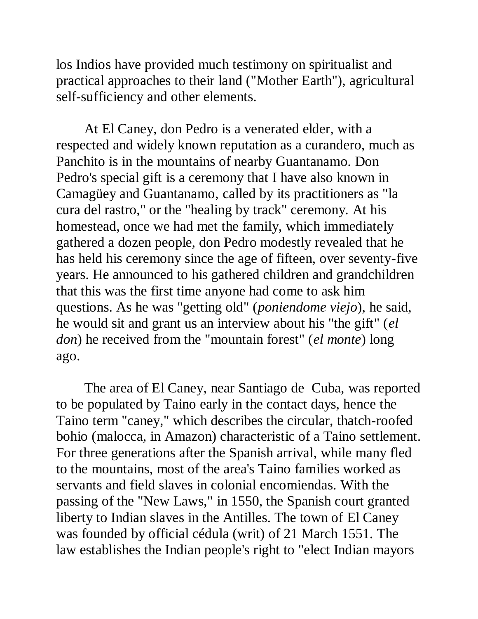los Indios have provided much testimony on spiritualist and practical approaches to their land ("Mother Earth"), agricultural self-sufficiency and other elements.

At El Caney, don Pedro is a venerated elder, with a respected and widely known reputation as a curandero, much as Panchito is in the mountains of nearby Guantanamo. Don Pedro's special gift is a ceremony that I have also known in Camagüey and Guantanamo, called by its practitioners as "la cura del rastro," or the "healing by track" ceremony. At his homestead, once we had met the family, which immediately gathered a dozen people, don Pedro modestly revealed that he has held his ceremony since the age of fifteen, over seventy-five years. He announced to his gathered children and grandchildren that this was the first time anyone had come to ask him questions. As he was "getting old" (*poniendome viejo*), he said, he would sit and grant us an interview about his "the gift" (*el don*) he received from the "mountain forest" (*el monte*) long ago.

The area of El Caney, near Santiago de Cuba, was reported to be populated by Taino early in the contact days, hence the Taino term "caney," which describes the circular, thatch-roofed bohio (malocca, in Amazon) characteristic of a Taino settlement. For three generations after the Spanish arrival, while many fled to the mountains, most of the area's Taino families worked as servants and field slaves in colonial encomiendas. With the passing of the "New Laws," in 1550, the Spanish court granted liberty to Indian slaves in the Antilles. The town of El Caney was founded by official cédula (writ) of 21 March 1551. The law establishes the Indian people's right to "elect Indian mayors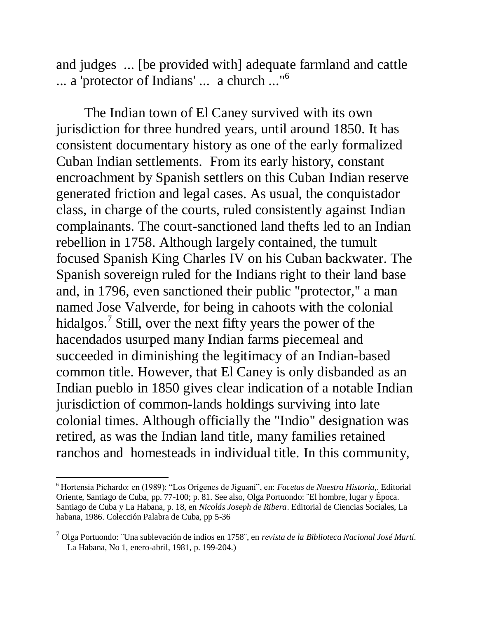and judges ... [be provided with] adequate farmland and cattle ... a 'protector of Indians' ... a church ..."<sup>6</sup>

The Indian town of El Caney survived with its own jurisdiction for three hundred years, until around 1850. It has consistent documentary history as one of the early formalized Cuban Indian settlements. From its early history, constant encroachment by Spanish settlers on this Cuban Indian reserve generated friction and legal cases. As usual, the conquistador class, in charge of the courts, ruled consistently against Indian complainants. The court-sanctioned land thefts led to an Indian rebellion in 1758. Although largely contained, the tumult focused Spanish King Charles IV on his Cuban backwater. The Spanish sovereign ruled for the Indians right to their land base and, in 1796, even sanctioned their public "protector," a man named Jose Valverde, for being in cahoots with the colonial hidalgos.<sup>7</sup> Still, over the next fifty years the power of the hacendados usurped many Indian farms piecemeal and succeeded in diminishing the legitimacy of an Indian-based common title. However, that El Caney is only disbanded as an Indian pueblo in 1850 gives clear indication of a notable Indian jurisdiction of common-lands holdings surviving into late colonial times. Although officially the "Indio" designation was retired, as was the Indian land title, many families retained ranchos and homesteads in individual title. In this community,

<sup>6</sup> Hortensia Pichardo: en (1989): "Los Orígenes de Jiguaní", en: *Facetas de Nuestra Historia*,. Editorial Oriente, Santiago de Cuba, pp. 77-100; p. 81. See also, Olga Portuondo: ¨El hombre, lugar y Época. Santiago de Cuba y La Habana, p. 18, en *Nicolás Joseph de Ribera*. Editorial de Ciencias Sociales, La habana, 1986. Colección Palabra de Cuba, pp 5-36

<sup>7</sup> Olga Portuondo: ¨Una sublevación de indios en 1758¨, en *revista de la Biblioteca Nacional José Martí.* La Habana, No 1, enero-abril, 1981, p. 199-204.)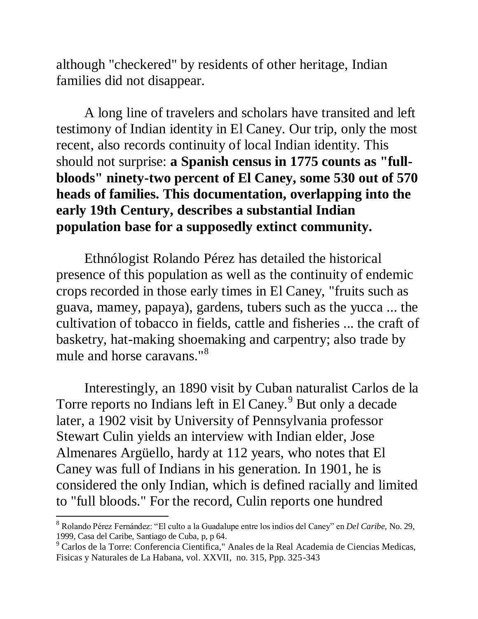although "checkered" by residents of other heritage, Indian families did not disappear.

A long line of travelers and scholars have transited and left testimony of Indian identity in El Caney. Our trip, only the most recent, also records continuity of local Indian identity. This should not surprise: **a Spanish census in 1775 counts as "fullbloods" ninety-two percent of El Caney, some 530 out of 570 heads of families. This documentation, overlapping into the early 19th Century, describes a substantial Indian population base for a supposedly extinct community.**

Ethnólogist Rolando Pérez has detailed the historical presence of this population as well as the continuity of endemic crops recorded in those early times in El Caney, "fruits such as guava, mamey, papaya), gardens, tubers such as the yucca ... the cultivation of tobacco in fields, cattle and fisheries ... the craft of basketry, hat-making shoemaking and carpentry; also trade by mule and horse caravans."<sup>8</sup>

Interestingly, an 1890 visit by Cuban naturalist Carlos de la Torre reports no Indians left in El Caney.<sup>9</sup> But only a decade later, a 1902 visit by University of Pennsylvania professor Stewart Culin yields an interview with Indian elder, Jose Almenares Argüello, hardy at 112 years, who notes that El Caney was full of Indians in his generation. In 1901, he is considered the only Indian, which is defined racially and limited to "full bloods." For the record, Culin reports one hundred

 $\overline{a}$ 

<sup>8</sup> Rolando Pérez Fernández: "El culto a la Guadalupe entre los indios del Caney" en *Del Caribe,* No. 29, 1999, Casa del Caribe, Santiago de Cuba, p, p 64.

<sup>9</sup> Carlos de la Torre: Conferencia Cientifica," Anales de la Real Academia de Ciencias Medicas, Fisicas y Naturales de La Habana, vol. XXVII, no. 315, Ppp. 325-343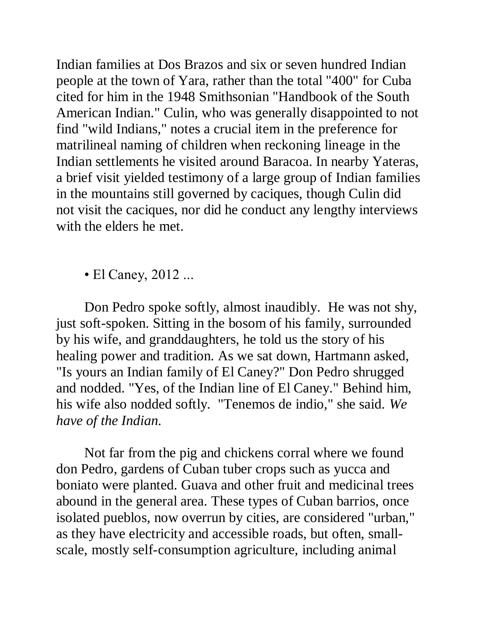Indian families at Dos Brazos and six or seven hundred Indian people at the town of Yara, rather than the total "400" for Cuba cited for him in the 1948 Smithsonian "Handbook of the South American Indian." Culin, who was generally disappointed to not find "wild Indians," notes a crucial item in the preference for matrilineal naming of children when reckoning lineage in the Indian settlements he visited around Baracoa. In nearby Yateras, a brief visit yielded testimony of a large group of Indian families in the mountains still governed by caciques, though Culin did not visit the caciques, nor did he conduct any lengthy interviews with the elders he met.

• El Caney, 2012 ...

Don Pedro spoke softly, almost inaudibly. He was not shy, just soft-spoken. Sitting in the bosom of his family, surrounded by his wife, and granddaughters, he told us the story of his healing power and tradition. As we sat down, Hartmann asked, "Is yours an Indian family of El Caney?" Don Pedro shrugged and nodded. "Yes, of the Indian line of El Caney." Behind him, his wife also nodded softly. "Tenemos de indio," she said. *We have of the Indian.*

Not far from the pig and chickens corral where we found don Pedro, gardens of Cuban tuber crops such as yucca and boniato were planted. Guava and other fruit and medicinal trees abound in the general area. These types of Cuban barrios, once isolated pueblos, now overrun by cities, are considered "urban," as they have electricity and accessible roads, but often, smallscale, mostly self-consumption agriculture, including animal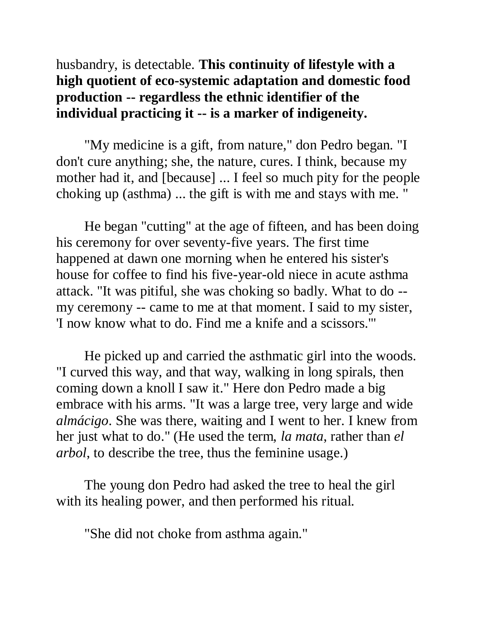husbandry, is detectable. **This continuity of lifestyle with a high quotient of eco-systemic adaptation and domestic food production -- regardless the ethnic identifier of the individual practicing it -- is a marker of indigeneity.**

"My medicine is a gift, from nature," don Pedro began. "I don't cure anything; she, the nature, cures. I think, because my mother had it, and [because] ... I feel so much pity for the people choking up (asthma) ... the gift is with me and stays with me. "

He began "cutting" at the age of fifteen, and has been doing his ceremony for over seventy-five years. The first time happened at dawn one morning when he entered his sister's house for coffee to find his five-year-old niece in acute asthma attack. "It was pitiful, she was choking so badly. What to do - my ceremony -- came to me at that moment. I said to my sister, 'I now know what to do. Find me a knife and a scissors.'"

He picked up and carried the asthmatic girl into the woods. "I curved this way, and that way, walking in long spirals, then coming down a knoll I saw it." Here don Pedro made a big embrace with his arms. "It was a large tree, very large and wide *almácigo*. She was there, waiting and I went to her. I knew from her just what to do." (He used the term, *la mata*, rather than *el arbol*, to describe the tree, thus the feminine usage.)

The young don Pedro had asked the tree to heal the girl with its healing power, and then performed his ritual.

"She did not choke from asthma again."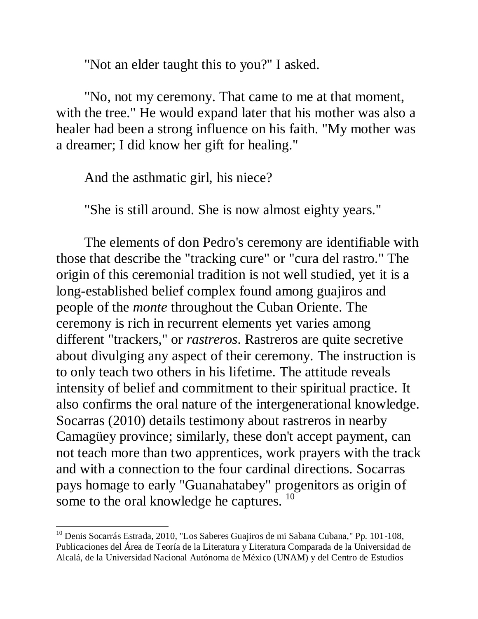"Not an elder taught this to you?" I asked.

"No, not my ceremony. That came to me at that moment, with the tree." He would expand later that his mother was also a healer had been a strong influence on his faith. "My mother was a dreamer; I did know her gift for healing."

And the asthmatic girl, his niece?

"She is still around. She is now almost eighty years."

The elements of don Pedro's ceremony are identifiable with those that describe the "tracking cure" or "cura del rastro." The origin of this ceremonial tradition is not well studied, yet it is a long-established belief complex found among guajiros and people of the *monte* throughout the Cuban Oriente. The ceremony is rich in recurrent elements yet varies among different "trackers," or *rastreros*. Rastreros are quite secretive about divulging any aspect of their ceremony. The instruction is to only teach two others in his lifetime. The attitude reveals intensity of belief and commitment to their spiritual practice. It also confirms the oral nature of the intergenerational knowledge. Socarras (2010) details testimony about rastreros in nearby Camagüey province; similarly, these don't accept payment, can not teach more than two apprentices, work prayers with the track and with a connection to the four cardinal directions. Socarras pays homage to early "Guanahatabey" progenitors as origin of some to the oral knowledge he captures.  $10$ 

<sup>&</sup>lt;sup>10</sup> Denis Socarrás Estrada, 2010, "Los Saberes Guajiros de mi Sabana Cubana," Pp. 101-108, Publicaciones del Área de Teoría de la Literatura y Literatura Comparada de la Universidad de Alcalá, de la Universidad Nacional Autónoma de México (UNAM) y del Centro de Estudios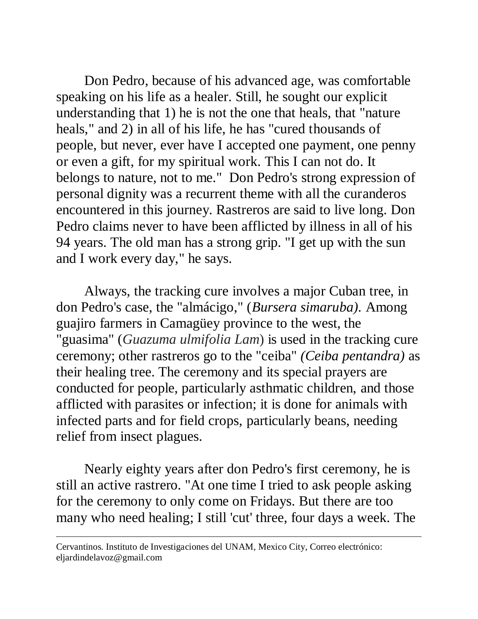Don Pedro, because of his advanced age, was comfortable speaking on his life as a healer. Still, he sought our explicit understanding that 1) he is not the one that heals, that "nature heals," and 2) in all of his life, he has "cured thousands of people, but never, ever have I accepted one payment, one penny or even a gift, for my spiritual work. This I can not do. It belongs to nature, not to me." Don Pedro's strong expression of personal dignity was a recurrent theme with all the curanderos encountered in this journey. Rastreros are said to live long. Don Pedro claims never to have been afflicted by illness in all of his 94 years. The old man has a strong grip. "I get up with the sun and I work every day," he says.

Always, the tracking cure involves a major Cuban tree, in don Pedro's case, the "almácigo," (*Bursera simaruba).* Among guajiro farmers in Camagüey province to the west, the "guasima" (*Guazuma ulmifolia Lam*) is used in the tracking cure ceremony; other rastreros go to the "ceiba" *(Ceiba pentandra)* as their healing tree. The ceremony and its special prayers are conducted for people, particularly asthmatic children, and those afflicted with parasites or infection; it is done for animals with infected parts and for field crops, particularly beans, needing relief from insect plagues.

Nearly eighty years after don Pedro's first ceremony, he is still an active rastrero. "At one time I tried to ask people asking for the ceremony to only come on Fridays. But there are too many who need healing; I still 'cut' three, four days a week. The

Cervantinos. Instituto de Investigaciones del UNAM, Mexico City, Correo electrónico: eljardindelavoz@gmail.com

 $\overline{a}$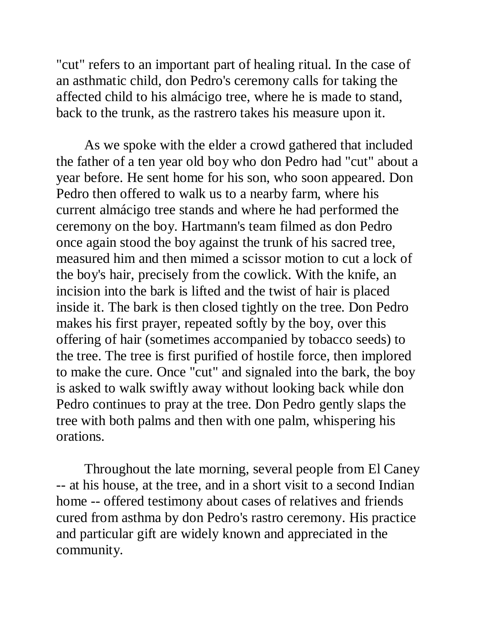"cut" refers to an important part of healing ritual. In the case of an asthmatic child, don Pedro's ceremony calls for taking the affected child to his almácigo tree, where he is made to stand, back to the trunk, as the rastrero takes his measure upon it.

As we spoke with the elder a crowd gathered that included the father of a ten year old boy who don Pedro had "cut" about a year before. He sent home for his son, who soon appeared. Don Pedro then offered to walk us to a nearby farm, where his current almácigo tree stands and where he had performed the ceremony on the boy. Hartmann's team filmed as don Pedro once again stood the boy against the trunk of his sacred tree, measured him and then mimed a scissor motion to cut a lock of the boy's hair, precisely from the cowlick. With the knife, an incision into the bark is lifted and the twist of hair is placed inside it. The bark is then closed tightly on the tree. Don Pedro makes his first prayer, repeated softly by the boy, over this offering of hair (sometimes accompanied by tobacco seeds) to the tree. The tree is first purified of hostile force, then implored to make the cure. Once "cut" and signaled into the bark, the boy is asked to walk swiftly away without looking back while don Pedro continues to pray at the tree. Don Pedro gently slaps the tree with both palms and then with one palm, whispering his orations.

Throughout the late morning, several people from El Caney -- at his house, at the tree, and in a short visit to a second Indian home -- offered testimony about cases of relatives and friends cured from asthma by don Pedro's rastro ceremony. His practice and particular gift are widely known and appreciated in the community.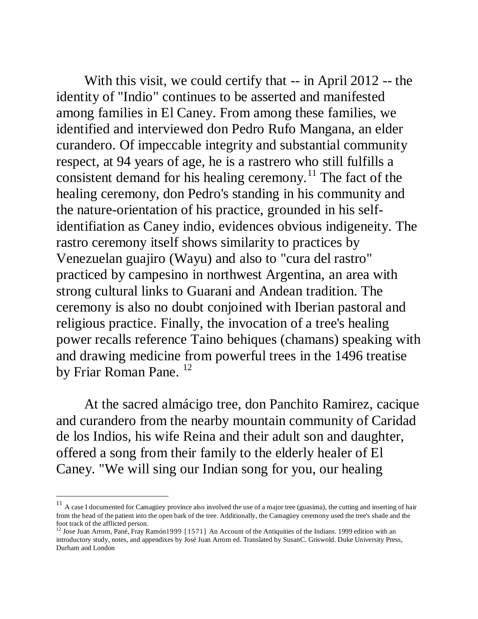With this visit, we could certify that -- in April 2012 -- the identity of "Indio" continues to be asserted and manifested among families in El Caney. From among these families, we identified and interviewed don Pedro Rufo Mangana, an elder curandero. Of impeccable integrity and substantial community respect, at 94 years of age, he is a rastrero who still fulfills a consistent demand for his healing ceremony.<sup>11</sup> The fact of the healing ceremony, don Pedro's standing in his community and the nature-orientation of his practice, grounded in his selfidentifiation as Caney indio, evidences obvious indigeneity. The rastro ceremony itself shows similarity to practices by Venezuelan guajiro (Wayu) and also to "cura del rastro" practiced by campesino in northwest Argentina, an area with strong cultural links to Guarani and Andean tradition. The ceremony is also no doubt conjoined with Iberian pastoral and religious practice. Finally, the invocation of a tree's healing power recalls reference Taino behiques (chamans) speaking with and drawing medicine from powerful trees in the 1496 treatise by Friar Roman Pane.<sup>12</sup>

At the sacred almácigo tree, don Panchito Ramirez, cacique and curandero from the nearby mountain community of Caridad de los Indios, his wife Reina and their adult son and daughter, offered a song from their family to the elderly healer of El Caney. "We will sing our Indian song for you, our healing

 $\overline{a}$ 

 $11$  A case I documented for Camagüey province also involved the use of a major tree (guasima), the cutting and inserting of hair from the head of the patient into the open bark of the tree. Additionally, the Camagüey ceremony used the tree's shade and the foot track of the afflicted person.

<sup>&</sup>lt;sup>12</sup> Jose Juan Arrom, Pané, Fray Ramón 1999 [1571] An Account of the Antiquities of the Indians. 1999 edition with an introductory study, notes, and appendixes by José Juan Arrom ed. Translated by SusanC. Griswold. Duke University Press, Durham and London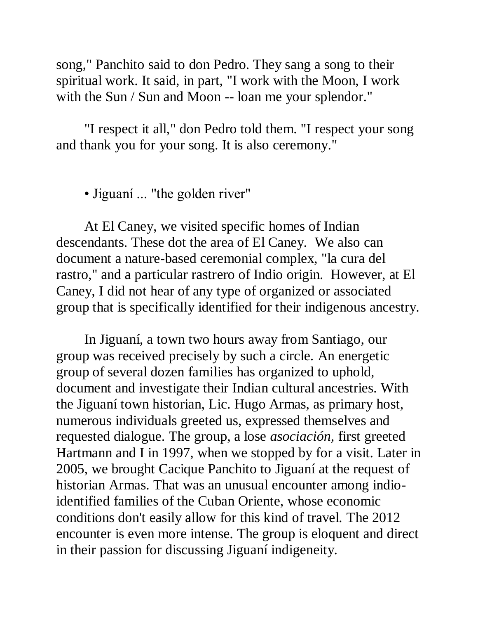song," Panchito said to don Pedro. They sang a song to their spiritual work. It said, in part, "I work with the Moon, I work with the Sun / Sun and Moon -- loan me your splendor."

"I respect it all," don Pedro told them. "I respect your song and thank you for your song. It is also ceremony."

• Jiguaní ... "the golden river"

At El Caney, we visited specific homes of Indian descendants. These dot the area of El Caney. We also can document a nature-based ceremonial complex, "la cura del rastro," and a particular rastrero of Indio origin. However, at El Caney, I did not hear of any type of organized or associated group that is specifically identified for their indigenous ancestry.

In Jiguaní, a town two hours away from Santiago, our group was received precisely by such a circle. An energetic group of several dozen families has organized to uphold, document and investigate their Indian cultural ancestries. With the Jiguaní town historian, Lic. Hugo Armas, as primary host, numerous individuals greeted us, expressed themselves and requested dialogue. The group, a lose *asociación,* first greeted Hartmann and I in 1997, when we stopped by for a visit. Later in 2005, we brought Cacique Panchito to Jiguaní at the request of historian Armas. That was an unusual encounter among indioidentified families of the Cuban Oriente, whose economic conditions don't easily allow for this kind of travel. The 2012 encounter is even more intense. The group is eloquent and direct in their passion for discussing Jiguaní indigeneity.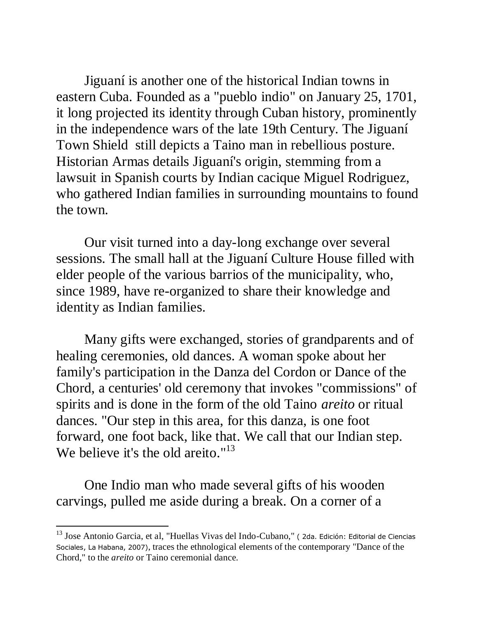Jiguaní is another one of the historical Indian towns in eastern Cuba. Founded as a "pueblo indio" on January 25, 1701, it long projected its identity through Cuban history, prominently in the independence wars of the late 19th Century. The Jiguaní Town Shield still depicts a Taino man in rebellious posture. Historian Armas details Jiguaní's origin, stemming from a lawsuit in Spanish courts by Indian cacique Miguel Rodriguez, who gathered Indian families in surrounding mountains to found the town.

Our visit turned into a day-long exchange over several sessions. The small hall at the Jiguaní Culture House filled with elder people of the various barrios of the municipality, who, since 1989, have re-organized to share their knowledge and identity as Indian families.

Many gifts were exchanged, stories of grandparents and of healing ceremonies, old dances. A woman spoke about her family's participation in the Danza del Cordon or Dance of the Chord, a centuries' old ceremony that invokes "commissions" of spirits and is done in the form of the old Taino *areito* or ritual dances. "Our step in this area, for this danza, is one foot forward, one foot back, like that. We call that our Indian step. We believe it's the old areito."<sup>13</sup>

One Indio man who made several gifts of his wooden carvings, pulled me aside during a break. On a corner of a

<sup>&</sup>lt;sup>13</sup> Jose Antonio Garcia, et al, "Huellas Vivas del Indo-Cubano," (2da. Edición: Editorial de Ciencias Sociales, La Habana, 2007), traces the ethnological elements of the contemporary "Dance of the Chord," to the *areito* or Taino ceremonial dance.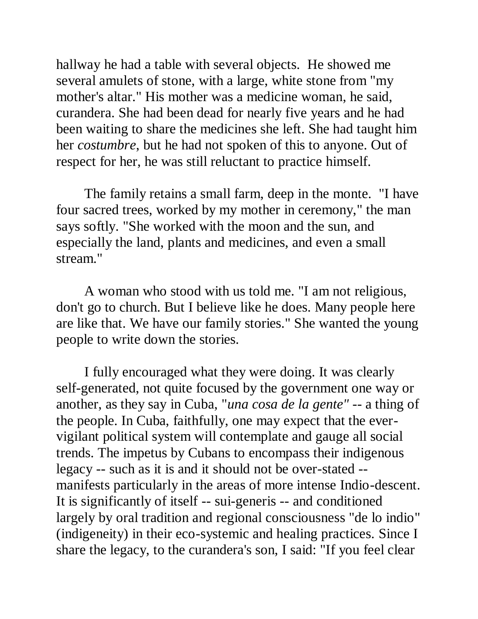hallway he had a table with several objects. He showed me several amulets of stone, with a large, white stone from "my mother's altar." His mother was a medicine woman, he said, curandera. She had been dead for nearly five years and he had been waiting to share the medicines she left. She had taught him her *costumbre*, but he had not spoken of this to anyone. Out of respect for her, he was still reluctant to practice himself.

The family retains a small farm, deep in the monte. "I have four sacred trees, worked by my mother in ceremony," the man says softly. "She worked with the moon and the sun, and especially the land, plants and medicines, and even a small stream."

A woman who stood with us told me. "I am not religious, don't go to church. But I believe like he does. Many people here are like that. We have our family stories." She wanted the young people to write down the stories.

I fully encouraged what they were doing. It was clearly self-generated, not quite focused by the government one way or another, as they say in Cuba, "*una cosa de la gente"* -- a thing of the people. In Cuba, faithfully, one may expect that the evervigilant political system will contemplate and gauge all social trends. The impetus by Cubans to encompass their indigenous legacy -- such as it is and it should not be over-stated - manifests particularly in the areas of more intense Indio-descent. It is significantly of itself -- sui-generis -- and conditioned largely by oral tradition and regional consciousness "de lo indio" (indigeneity) in their eco-systemic and healing practices. Since I share the legacy, to the curandera's son, I said: "If you feel clear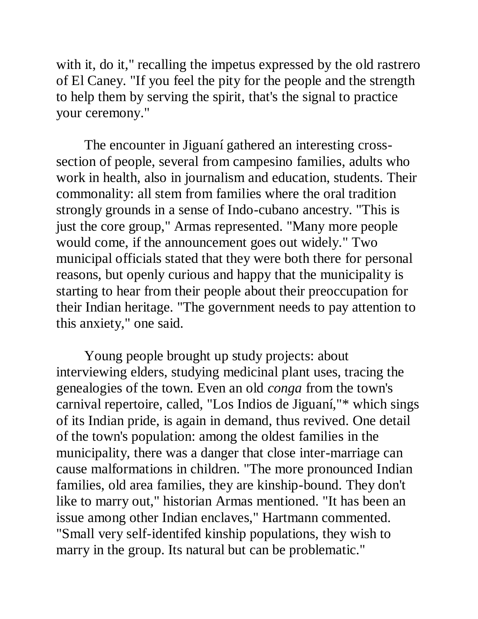with it, do it," recalling the impetus expressed by the old rastrero of El Caney. "If you feel the pity for the people and the strength to help them by serving the spirit, that's the signal to practice your ceremony."

The encounter in Jiguaní gathered an interesting crosssection of people, several from campesino families, adults who work in health, also in journalism and education, students. Their commonality: all stem from families where the oral tradition strongly grounds in a sense of Indo-cubano ancestry. "This is just the core group," Armas represented. "Many more people would come, if the announcement goes out widely." Two municipal officials stated that they were both there for personal reasons, but openly curious and happy that the municipality is starting to hear from their people about their preoccupation for their Indian heritage. "The government needs to pay attention to this anxiety," one said.

Young people brought up study projects: about interviewing elders, studying medicinal plant uses, tracing the genealogies of the town. Even an old *conga* from the town's carnival repertoire, called, "Los Indios de Jiguaní,"\* which sings of its Indian pride, is again in demand, thus revived. One detail of the town's population: among the oldest families in the municipality, there was a danger that close inter-marriage can cause malformations in children. "The more pronounced Indian families, old area families, they are kinship-bound. They don't like to marry out," historian Armas mentioned. "It has been an issue among other Indian enclaves," Hartmann commented. "Small very self-identifed kinship populations, they wish to marry in the group. Its natural but can be problematic."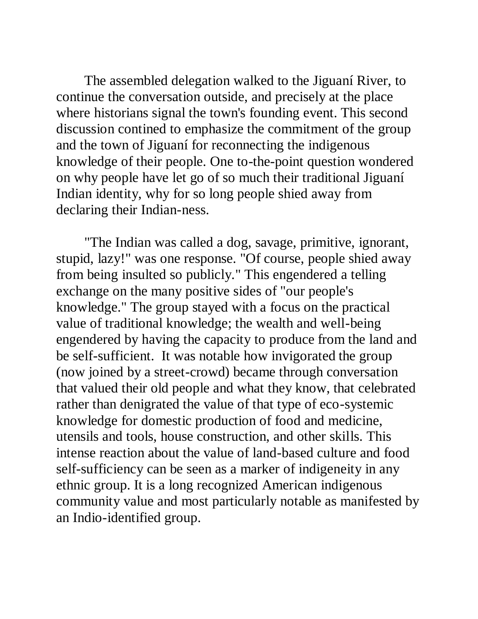The assembled delegation walked to the Jiguaní River, to continue the conversation outside, and precisely at the place where historians signal the town's founding event. This second discussion contined to emphasize the commitment of the group and the town of Jiguaní for reconnecting the indigenous knowledge of their people. One to-the-point question wondered on why people have let go of so much their traditional Jiguaní Indian identity, why for so long people shied away from declaring their Indian-ness.

"The Indian was called a dog, savage, primitive, ignorant, stupid, lazy!" was one response. "Of course, people shied away from being insulted so publicly." This engendered a telling exchange on the many positive sides of "our people's knowledge." The group stayed with a focus on the practical value of traditional knowledge; the wealth and well-being engendered by having the capacity to produce from the land and be self-sufficient. It was notable how invigorated the group (now joined by a street-crowd) became through conversation that valued their old people and what they know, that celebrated rather than denigrated the value of that type of eco-systemic knowledge for domestic production of food and medicine, utensils and tools, house construction, and other skills. This intense reaction about the value of land-based culture and food self-sufficiency can be seen as a marker of indigeneity in any ethnic group. It is a long recognized American indigenous community value and most particularly notable as manifested by an Indio-identified group.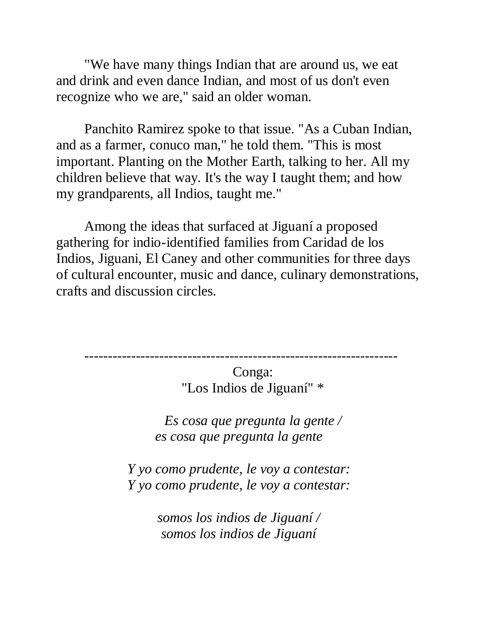"We have many things Indian that are around us, we eat and drink and even dance Indian, and most of us don't even recognize who we are," said an older woman.

Panchito Ramirez spoke to that issue. "As a Cuban Indian, and as a farmer, conuco man," he told them. "This is most important. Planting on the Mother Earth, talking to her. All my children believe that way. It's the way I taught them; and how my grandparents, all Indios, taught me."

Among the ideas that surfaced at Jiguaní a proposed gathering for indio-identified families from Caridad de los Indios, Jiguani, El Caney and other communities for three days of cultural encounter, music and dance, culinary demonstrations, crafts and discussion circles.

-------------------------------------------------------------------

Conga: "Los Indios de Jiguaní" \*

*Es cosa que pregunta la gente / es cosa que pregunta la gente*

*Y yo como prudente, le voy a contestar: Y yo como prudente, le voy a contestar:*

> *somos los indios de Jiguaní / somos los indios de Jiguaní*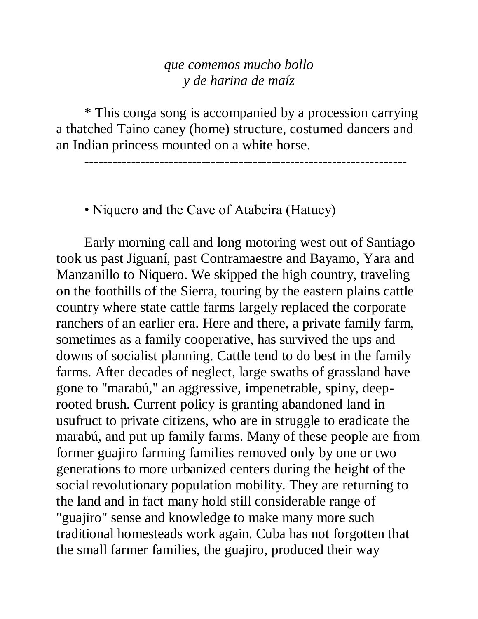### *que comemos mucho bollo y de harina de maíz*

\* This conga song is accompanied by a procession carrying a thatched Taino caney (home) structure, costumed dancers and an Indian princess mounted on a white horse.

---------------------------------------------------------------------

• Niquero and the Cave of Atabeira (Hatuey)

Early morning call and long motoring west out of Santiago took us past Jiguaní, past Contramaestre and Bayamo, Yara and Manzanillo to Niquero. We skipped the high country, traveling on the foothills of the Sierra, touring by the eastern plains cattle country where state cattle farms largely replaced the corporate ranchers of an earlier era. Here and there, a private family farm, sometimes as a family cooperative, has survived the ups and downs of socialist planning. Cattle tend to do best in the family farms. After decades of neglect, large swaths of grassland have gone to "marabú," an aggressive, impenetrable, spiny, deeprooted brush. Current policy is granting abandoned land in usufruct to private citizens, who are in struggle to eradicate the marabú, and put up family farms. Many of these people are from former guajiro farming families removed only by one or two generations to more urbanized centers during the height of the social revolutionary population mobility. They are returning to the land and in fact many hold still considerable range of "guajiro" sense and knowledge to make many more such traditional homesteads work again. Cuba has not forgotten that the small farmer families, the guajiro, produced their way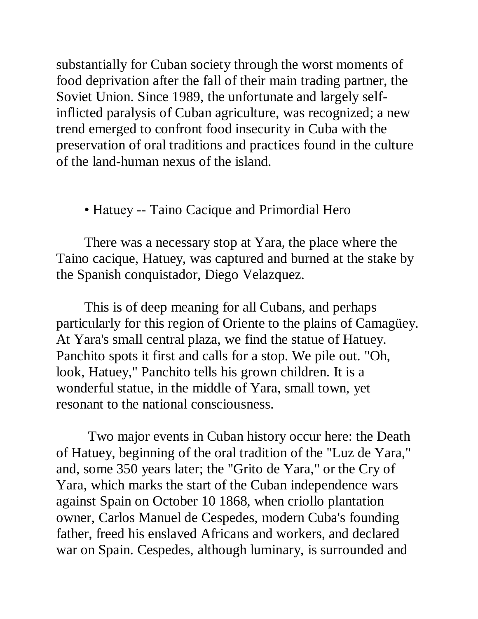substantially for Cuban society through the worst moments of food deprivation after the fall of their main trading partner, the Soviet Union. Since 1989, the unfortunate and largely selfinflicted paralysis of Cuban agriculture, was recognized; a new trend emerged to confront food insecurity in Cuba with the preservation of oral traditions and practices found in the culture of the land-human nexus of the island.

## • Hatuey -- Taino Cacique and Primordial Hero

There was a necessary stop at Yara, the place where the Taino cacique, Hatuey, was captured and burned at the stake by the Spanish conquistador, Diego Velazquez.

This is of deep meaning for all Cubans, and perhaps particularly for this region of Oriente to the plains of Camagüey. At Yara's small central plaza, we find the statue of Hatuey. Panchito spots it first and calls for a stop. We pile out. "Oh, look, Hatuey," Panchito tells his grown children. It is a wonderful statue, in the middle of Yara, small town, yet resonant to the national consciousness.

Two major events in Cuban history occur here: the Death of Hatuey, beginning of the oral tradition of the "Luz de Yara," and, some 350 years later; the "Grito de Yara," or the Cry of Yara, which marks the start of the Cuban independence wars against Spain on October 10 1868, when criollo plantation owner, Carlos Manuel de Cespedes, modern Cuba's founding father, freed his enslaved Africans and workers, and declared war on Spain. Cespedes, although luminary, is surrounded and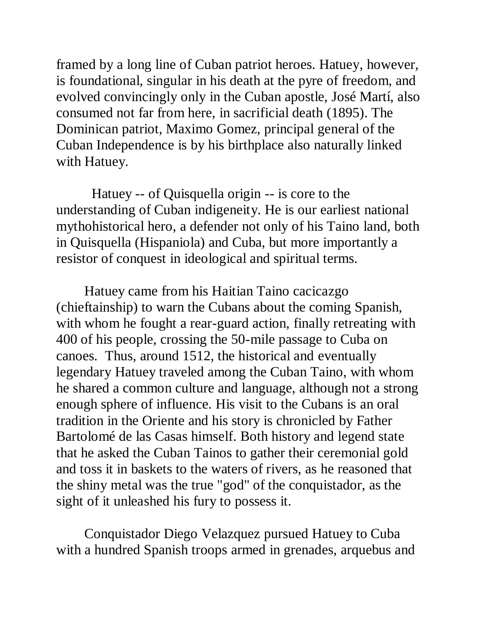framed by a long line of Cuban patriot heroes. Hatuey, however, is foundational, singular in his death at the pyre of freedom, and evolved convincingly only in the Cuban apostle, José Martí, also consumed not far from here, in sacrificial death (1895). The Dominican patriot, Maximo Gomez, principal general of the Cuban Independence is by his birthplace also naturally linked with Hatuey.

 Hatuey -- of Quisquella origin -- is core to the understanding of Cuban indigeneity. He is our earliest national mythohistorical hero, a defender not only of his Taino land, both in Quisquella (Hispaniola) and Cuba, but more importantly a resistor of conquest in ideological and spiritual terms.

Hatuey came from his Haitian Taino cacicazgo (chieftainship) to warn the Cubans about the coming Spanish, with whom he fought a rear-guard action, finally retreating with 400 of his people, crossing the 50-mile passage to Cuba on canoes. Thus, around 1512, the historical and eventually legendary Hatuey traveled among the Cuban Taino, with whom he shared a common culture and language, although not a strong enough sphere of influence. His visit to the Cubans is an oral tradition in the Oriente and his story is chronicled by Father Bartolomé de las Casas himself. Both history and legend state that he asked the Cuban Tainos to gather their ceremonial gold and toss it in baskets to the waters of rivers, as he reasoned that the shiny metal was the true "god" of the conquistador, as the sight of it unleashed his fury to possess it.

Conquistador Diego Velazquez pursued Hatuey to Cuba with a hundred Spanish troops armed in grenades, arquebus and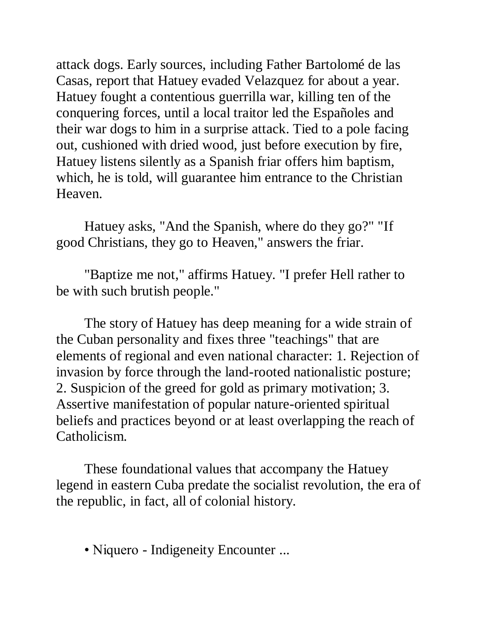attack dogs. Early sources, including Father Bartolomé de las Casas, report that Hatuey evaded Velazquez for about a year. Hatuey fought a contentious guerrilla war, killing ten of the conquering forces, until a local traitor led the Españoles and their war dogs to him in a surprise attack. Tied to a pole facing out, cushioned with dried wood, just before execution by fire, Hatuey listens silently as a Spanish friar offers him baptism, which, he is told, will guarantee him entrance to the Christian Heaven.

Hatuey asks, "And the Spanish, where do they go?" "If good Christians, they go to Heaven," answers the friar.

"Baptize me not," affirms Hatuey. "I prefer Hell rather to be with such brutish people."

The story of Hatuey has deep meaning for a wide strain of the Cuban personality and fixes three "teachings" that are elements of regional and even national character: 1. Rejection of invasion by force through the land-rooted nationalistic posture; 2. Suspicion of the greed for gold as primary motivation; 3. Assertive manifestation of popular nature-oriented spiritual beliefs and practices beyond or at least overlapping the reach of Catholicism.

These foundational values that accompany the Hatuey legend in eastern Cuba predate the socialist revolution, the era of the republic, in fact, all of colonial history.

• Niquero - Indigeneity Encounter ...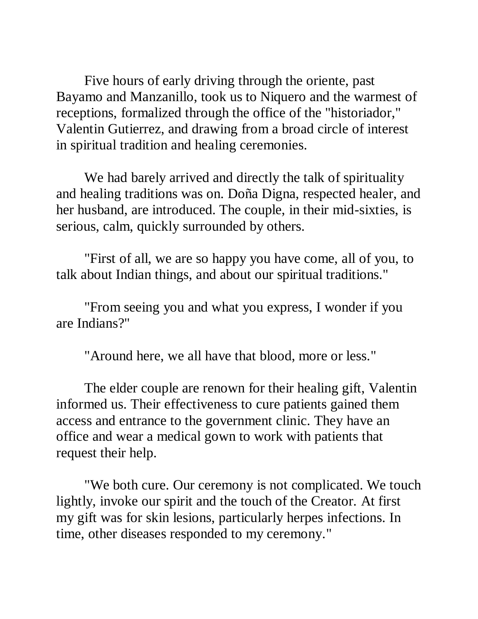Five hours of early driving through the oriente, past Bayamo and Manzanillo, took us to Niquero and the warmest of receptions, formalized through the office of the "historiador," Valentin Gutierrez, and drawing from a broad circle of interest in spiritual tradition and healing ceremonies.

We had barely arrived and directly the talk of spirituality and healing traditions was on. Doña Digna, respected healer, and her husband, are introduced. The couple, in their mid-sixties, is serious, calm, quickly surrounded by others.

"First of all, we are so happy you have come, all of you, to talk about Indian things, and about our spiritual traditions."

"From seeing you and what you express, I wonder if you are Indians?"

"Around here, we all have that blood, more or less."

The elder couple are renown for their healing gift, Valentin informed us. Their effectiveness to cure patients gained them access and entrance to the government clinic. They have an office and wear a medical gown to work with patients that request their help.

"We both cure. Our ceremony is not complicated. We touch lightly, invoke our spirit and the touch of the Creator. At first my gift was for skin lesions, particularly herpes infections. In time, other diseases responded to my ceremony."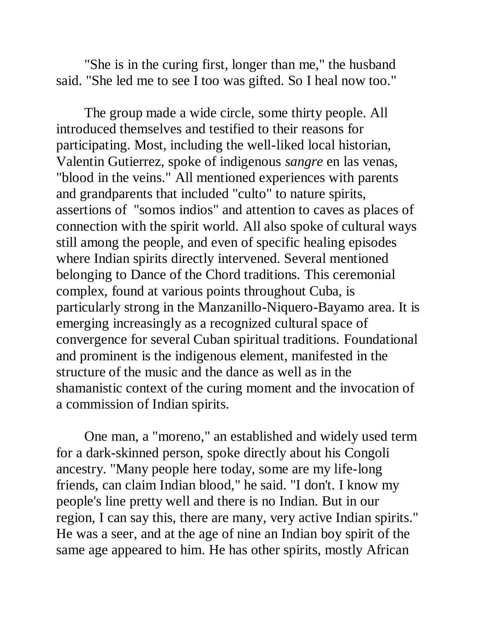"She is in the curing first, longer than me," the husband said. "She led me to see I too was gifted. So I heal now too."

The group made a wide circle, some thirty people. All introduced themselves and testified to their reasons for participating. Most, including the well-liked local historian, Valentin Gutierrez, spoke of indigenous *sangre* en las venas, "blood in the veins." All mentioned experiences with parents and grandparents that included "culto" to nature spirits, assertions of "somos indios" and attention to caves as places of connection with the spirit world. All also spoke of cultural ways still among the people, and even of specific healing episodes where Indian spirits directly intervened. Several mentioned belonging to Dance of the Chord traditions. This ceremonial complex, found at various points throughout Cuba, is particularly strong in the Manzanillo-Niquero-Bayamo area. It is emerging increasingly as a recognized cultural space of convergence for several Cuban spiritual traditions. Foundational and prominent is the indigenous element, manifested in the structure of the music and the dance as well as in the shamanistic context of the curing moment and the invocation of a commission of Indian spirits.

One man, a "moreno," an established and widely used term for a dark-skinned person, spoke directly about his Congoli ancestry. "Many people here today, some are my life-long friends, can claim Indian blood," he said. "I don't. I know my people's line pretty well and there is no Indian. But in our region, I can say this, there are many, very active Indian spirits." He was a seer, and at the age of nine an Indian boy spirit of the same age appeared to him. He has other spirits, mostly African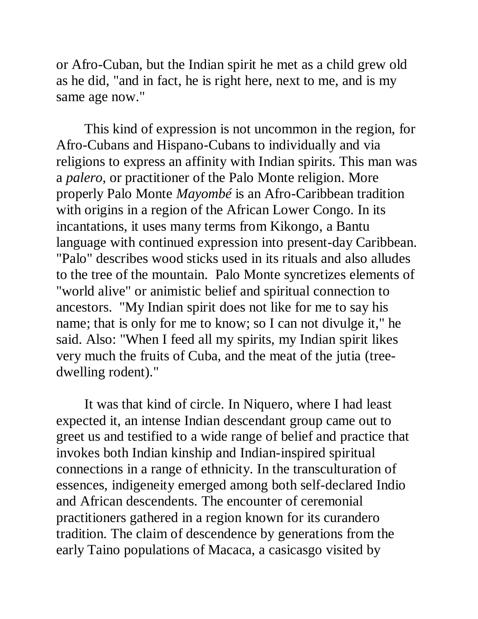or Afro-Cuban, but the Indian spirit he met as a child grew old as he did, "and in fact, he is right here, next to me, and is my same age now."

This kind of expression is not uncommon in the region, for Afro-Cubans and Hispano-Cubans to individually and via religions to express an affinity with Indian spirits. This man was a *palero*, or practitioner of the Palo Monte religion. More properly Palo Monte *Mayombé* is an Afro-Caribbean tradition with origins in a region of the African Lower Congo. In its incantations, it uses many terms from Kikongo, a Bantu language with continued expression into present-day Caribbean. "Palo" describes wood sticks used in its rituals and also alludes to the tree of the mountain. Palo Monte syncretizes elements of "world alive" or animistic belief and spiritual connection to ancestors. "My Indian spirit does not like for me to say his name; that is only for me to know; so I can not divulge it," he said. Also: "When I feed all my spirits, my Indian spirit likes very much the fruits of Cuba, and the meat of the jutia (treedwelling rodent)."

It was that kind of circle. In Niquero, where I had least expected it, an intense Indian descendant group came out to greet us and testified to a wide range of belief and practice that invokes both Indian kinship and Indian-inspired spiritual connections in a range of ethnicity. In the transculturation of essences, indigeneity emerged among both self-declared Indio and African descendents. The encounter of ceremonial practitioners gathered in a region known for its curandero tradition. The claim of descendence by generations from the early Taino populations of Macaca, a casicasgo visited by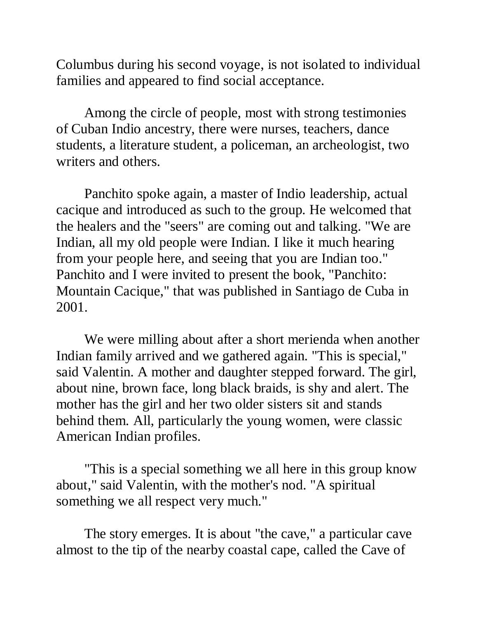Columbus during his second voyage, is not isolated to individual families and appeared to find social acceptance.

Among the circle of people, most with strong testimonies of Cuban Indio ancestry, there were nurses, teachers, dance students, a literature student, a policeman, an archeologist, two writers and others.

Panchito spoke again, a master of Indio leadership, actual cacique and introduced as such to the group. He welcomed that the healers and the "seers" are coming out and talking. "We are Indian, all my old people were Indian. I like it much hearing from your people here, and seeing that you are Indian too." Panchito and I were invited to present the book, "Panchito: Mountain Cacique," that was published in Santiago de Cuba in 2001.

We were milling about after a short merienda when another Indian family arrived and we gathered again. "This is special," said Valentin. A mother and daughter stepped forward. The girl, about nine, brown face, long black braids, is shy and alert. The mother has the girl and her two older sisters sit and stands behind them. All, particularly the young women, were classic American Indian profiles.

"This is a special something we all here in this group know about," said Valentin, with the mother's nod. "A spiritual something we all respect very much."

The story emerges. It is about "the cave," a particular cave almost to the tip of the nearby coastal cape, called the Cave of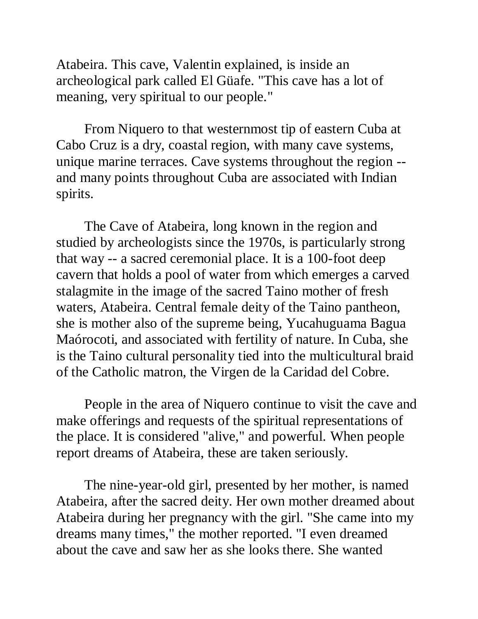Atabeira. This cave, Valentin explained, is inside an archeological park called El Güafe. "This cave has a lot of meaning, very spiritual to our people."

From Niquero to that westernmost tip of eastern Cuba at Cabo Cruz is a dry, coastal region, with many cave systems, unique marine terraces. Cave systems throughout the region - and many points throughout Cuba are associated with Indian spirits.

The Cave of Atabeira, long known in the region and studied by archeologists since the 1970s, is particularly strong that way -- a sacred ceremonial place. It is a 100-foot deep cavern that holds a pool of water from which emerges a carved stalagmite in the image of the sacred Taino mother of fresh waters, Atabeira. Central female deity of the Taino pantheon, she is mother also of the supreme being, Yucahuguama Bagua Maórocoti, and associated with fertility of nature. In Cuba, she is the Taino cultural personality tied into the multicultural braid of the Catholic matron, the Virgen de la Caridad del Cobre.

People in the area of Niquero continue to visit the cave and make offerings and requests of the spiritual representations of the place. It is considered "alive," and powerful. When people report dreams of Atabeira, these are taken seriously.

The nine-year-old girl, presented by her mother, is named Atabeira, after the sacred deity. Her own mother dreamed about Atabeira during her pregnancy with the girl. "She came into my dreams many times," the mother reported. "I even dreamed about the cave and saw her as she looks there. She wanted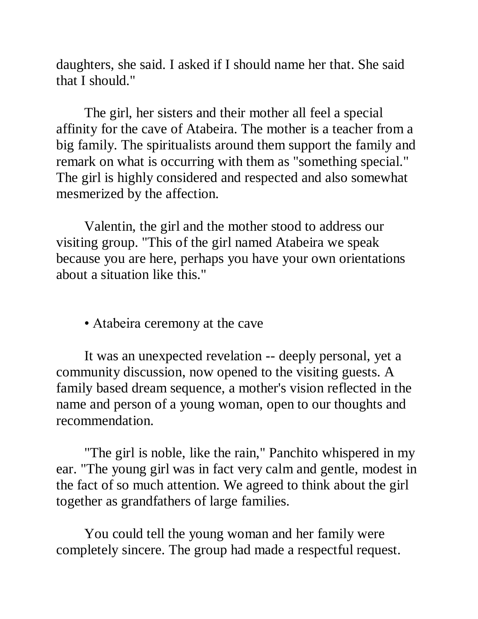daughters, she said. I asked if I should name her that. She said that I should."

The girl, her sisters and their mother all feel a special affinity for the cave of Atabeira. The mother is a teacher from a big family. The spiritualists around them support the family and remark on what is occurring with them as "something special." The girl is highly considered and respected and also somewhat mesmerized by the affection.

Valentin, the girl and the mother stood to address our visiting group. "This of the girl named Atabeira we speak because you are here, perhaps you have your own orientations about a situation like this."

• Atabeira ceremony at the cave

It was an unexpected revelation -- deeply personal, yet a community discussion, now opened to the visiting guests. A family based dream sequence, a mother's vision reflected in the name and person of a young woman, open to our thoughts and recommendation.

"The girl is noble, like the rain," Panchito whispered in my ear. "The young girl was in fact very calm and gentle, modest in the fact of so much attention. We agreed to think about the girl together as grandfathers of large families.

You could tell the young woman and her family were completely sincere. The group had made a respectful request.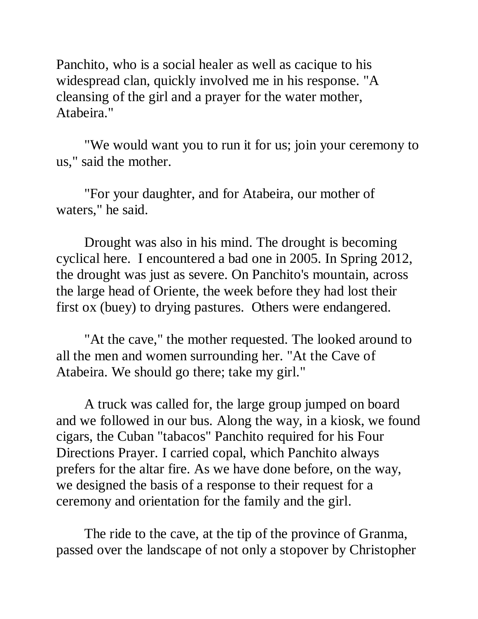Panchito, who is a social healer as well as cacique to his widespread clan, quickly involved me in his response. "A cleansing of the girl and a prayer for the water mother, Atabeira."

"We would want you to run it for us; join your ceremony to us," said the mother.

"For your daughter, and for Atabeira, our mother of waters," he said.

Drought was also in his mind. The drought is becoming cyclical here. I encountered a bad one in 2005. In Spring 2012, the drought was just as severe. On Panchito's mountain, across the large head of Oriente, the week before they had lost their first ox (buey) to drying pastures. Others were endangered.

"At the cave," the mother requested. The looked around to all the men and women surrounding her. "At the Cave of Atabeira. We should go there; take my girl."

A truck was called for, the large group jumped on board and we followed in our bus. Along the way, in a kiosk, we found cigars, the Cuban "tabacos" Panchito required for his Four Directions Prayer. I carried copal, which Panchito always prefers for the altar fire. As we have done before, on the way, we designed the basis of a response to their request for a ceremony and orientation for the family and the girl.

The ride to the cave, at the tip of the province of Granma, passed over the landscape of not only a stopover by Christopher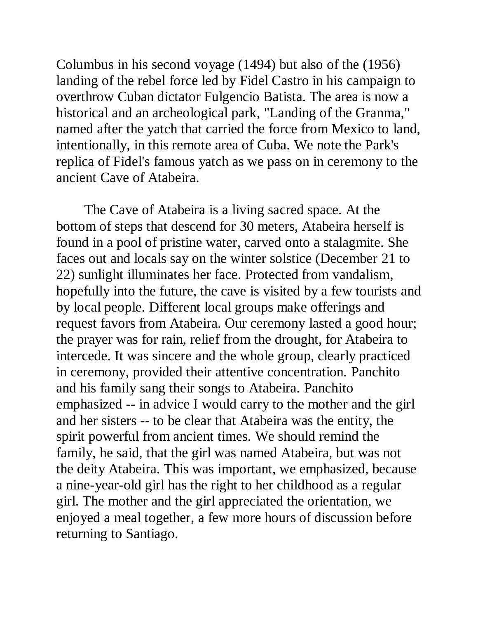Columbus in his second voyage (1494) but also of the (1956) landing of the rebel force led by Fidel Castro in his campaign to overthrow Cuban dictator Fulgencio Batista. The area is now a historical and an archeological park, "Landing of the Granma," named after the yatch that carried the force from Mexico to land, intentionally, in this remote area of Cuba. We note the Park's replica of Fidel's famous yatch as we pass on in ceremony to the ancient Cave of Atabeira.

The Cave of Atabeira is a living sacred space. At the bottom of steps that descend for 30 meters, Atabeira herself is found in a pool of pristine water, carved onto a stalagmite. She faces out and locals say on the winter solstice (December 21 to 22) sunlight illuminates her face. Protected from vandalism, hopefully into the future, the cave is visited by a few tourists and by local people. Different local groups make offerings and request favors from Atabeira. Our ceremony lasted a good hour; the prayer was for rain, relief from the drought, for Atabeira to intercede. It was sincere and the whole group, clearly practiced in ceremony, provided their attentive concentration. Panchito and his family sang their songs to Atabeira. Panchito emphasized -- in advice I would carry to the mother and the girl and her sisters -- to be clear that Atabeira was the entity, the spirit powerful from ancient times. We should remind the family, he said, that the girl was named Atabeira, but was not the deity Atabeira. This was important, we emphasized, because a nine-year-old girl has the right to her childhood as a regular girl. The mother and the girl appreciated the orientation, we enjoyed a meal together, a few more hours of discussion before returning to Santiago.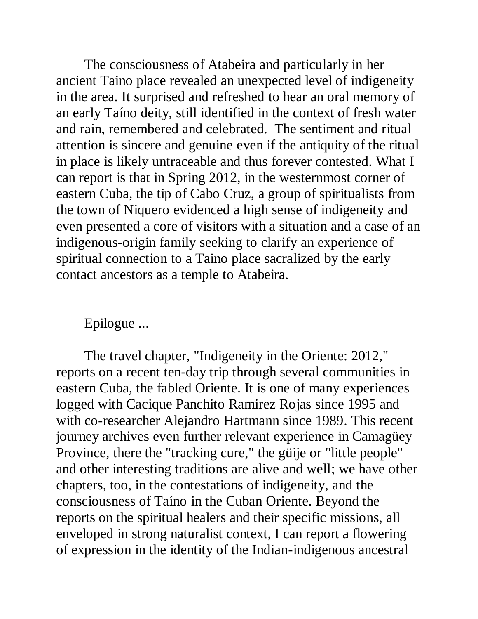The consciousness of Atabeira and particularly in her ancient Taino place revealed an unexpected level of indigeneity in the area. It surprised and refreshed to hear an oral memory of an early Taíno deity, still identified in the context of fresh water and rain, remembered and celebrated. The sentiment and ritual attention is sincere and genuine even if the antiquity of the ritual in place is likely untraceable and thus forever contested. What I can report is that in Spring 2012, in the westernmost corner of eastern Cuba, the tip of Cabo Cruz, a group of spiritualists from the town of Niquero evidenced a high sense of indigeneity and even presented a core of visitors with a situation and a case of an indigenous-origin family seeking to clarify an experience of spiritual connection to a Taino place sacralized by the early contact ancestors as a temple to Atabeira.

### Epilogue ...

The travel chapter, "Indigeneity in the Oriente: 2012," reports on a recent ten-day trip through several communities in eastern Cuba, the fabled Oriente. It is one of many experiences logged with Cacique Panchito Ramirez Rojas since 1995 and with co-researcher Alejandro Hartmann since 1989. This recent journey archives even further relevant experience in Camagüey Province, there the "tracking cure," the güije or "little people" and other interesting traditions are alive and well; we have other chapters, too, in the contestations of indigeneity, and the consciousness of Taíno in the Cuban Oriente. Beyond the reports on the spiritual healers and their specific missions, all enveloped in strong naturalist context, I can report a flowering of expression in the identity of the Indian-indigenous ancestral